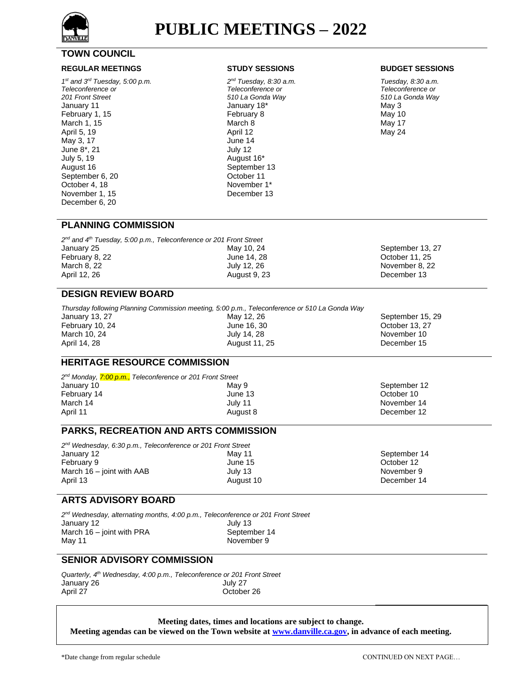

# **TOWN COUNCIL**

### **REGULAR MEETINGS STUDY SESSIONS BUDGET SESSIONS**

*1 st and 3rd Tuesday, 5:00 p.m. Teleconference or 201 Front Street* January 11 February 1, 15 March 1, 15 April 5, 19 May 3, 17 June 8\*, 21 July 5, 19 August 16 September 6, 20 October 4, 18 November 1, 15 December 6, 20

*2 nd Tuesday, 8:30 a.m. Teleconference or 510 La Gonda Way* January 18\* February 8 March 8 April 12 June 14 July 12 August 16\* September 13 October 11 November 1\* December 13

*Tuesday, 8:30 a.m. Teleconference or 510 La Gonda Way*  May 3 May 10 May 17 May 24

### **PLANNING COMMISSION**

| $2nd$ and $4th$ Tuesday, 5:00 p.m., Teleconference or 201 Front Street |              |                  |
|------------------------------------------------------------------------|--------------|------------------|
| January 25                                                             | May 10, 24   | September 13, 27 |
| February 8, 22                                                         | June 14, 28  | October 11, 25   |
| March 8, 22                                                            | July 12, 26  | November 8, 22   |
| April 12, 26                                                           | August 9, 23 | December 13      |
|                                                                        |              |                  |

July 14, 28 August 11, 25

# **DESIGN REVIEW BOARD**

March 10, 24 April 14, 28

*Thursday following Planning Commission meeting, 5:00 p.m., Teleconference or 510 La Gonda Way* January 13, 27 February 10, 24 May 12, 26 June 16, 30

September 15, 29 October 13, 27 November 10 December 15

September 12 October 10 November 14 December 12

September 14 October 12 November 9 December 14

# **HERITAGE RESOURCE COMMISSION**

*2 nd Monday, 7:00 p.m., Teleconference or 201 Front Street*  January 10 February 14 March 14 April 11 May 9 June 13 July 11 August 8

# **PARKS, RECREATION AND ARTS COMMISSION**

*2 nd Wednesday, 6:30 p.m., Teleconference or 201 Front Street* January 12 February 9 March 16 – joint with AAB April 13 May 11 June 15 July 13 August 10

## **ARTS ADVISORY BOARD**

*2 nd Wednesday, alternating months, 4:00 p.m., Teleconference or 201 Front Street* January 12 March 16 – joint with PRA May 11 July 13 September 14 November 9

# **SENIOR ADVISORY COMMISSION**

*Quarterly, 4th Wednesday, 4:00 p.m., Teleconference or 201 Front Street* January 26 April 27 July 27 October 26

**Meeting dates, times and locations are subject to change.**

**Meeting agendas can be viewed on the Town website a[t www.danville.ca.gov,](http://www.danville.ca.gov/) in advance of each meeting.**